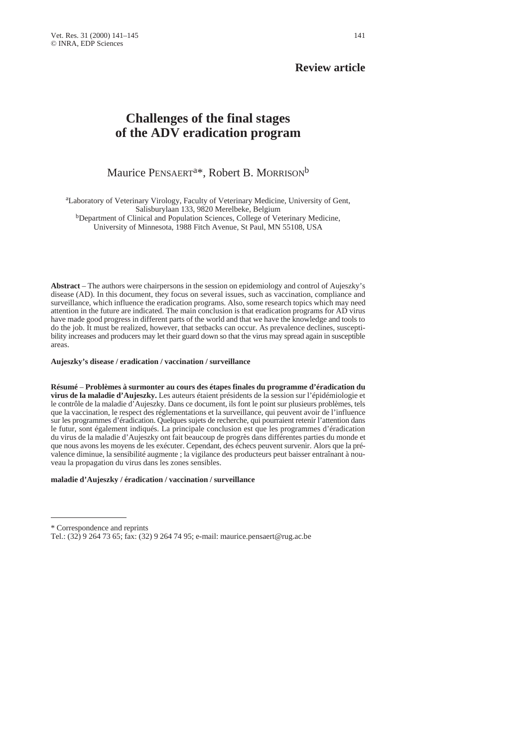## **Review article**

# **Challenges of the final stages of the ADV eradication program**

# Maurice PENSAERT<sup>a\*</sup>, Robert B. MORRISON<sup>b</sup>

aLaboratory of Veterinary Virology, Faculty of Veterinary Medicine, University of Gent, Salisburylaan 133, 9820 Merelbeke, Belgium

bDepartment of Clinical and Population Sciences, College of Veterinary Medicine, University of Minnesota, 1988 Fitch Avenue, St Paul, MN 55108, USA

**Abstract** – The authors were chairpersons in the session on epidemiology and control of Aujeszky's disease (AD). In this document, they focus on several issues, such as vaccination, compliance and surveillance, which influence the eradication programs. Also, some research topics which may need attention in the future are indicated. The main conclusion is that eradication programs for AD virus have made good progress in different parts of the world and that we have the knowledge and tools to do the job. It must be realized, however, that setbacks can occur. As prevalence declines, susceptibility increases and producers may let their guard down so that the virus may spread again in susceptible areas.

#### **Aujeszky's disease / eradication / vaccination / surveillance**

**Résumé** – **Problèmes à surmonter au cours des étapes finales du programme d'éradication du virus de la maladie d'Aujeszky.** Les auteurs étaient présidents de la session sur l'épidémiologie et le contrôle de la maladie d'Aujeszky. Dans ce document, ils font le point sur plusieurs problèmes, tels que la vaccination, le respect des réglementations et la surveillance, qui peuvent avoir de l'influence sur les programmes d'éradication. Quelques sujets de recherche, qui pourraient retenir l'attention dans le futur, sont également indiqués. La principale conclusion est que les programmes d'éradication du virus de la maladie d'Aujeszky ont fait beaucoup de progrès dans différentes parties du monde et que nous avons les moyens de les exécuter. Cependant, des échecs peuvent survenir. Alors que la prévalence diminue, la sensibilité augmente ; la vigilance des producteurs peut baisser entraînant à nouveau la propagation du virus dans les zones sensibles.

### **maladie d'Aujeszky / éradication / vaccination / surveillance**

<sup>\*</sup> Correspondence and reprints

Tel.: (32) 9 264 73 65; fax: (32) 9 264 74 95; e-mail: maurice.pensaert@rug.ac.be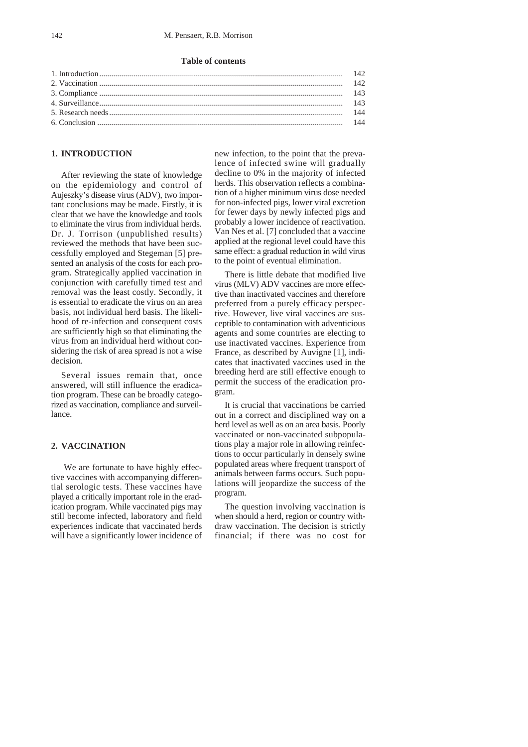### 142 M. Pensaert, R.B. Morrison

### **Table of contents**

### **1. INTRODUCTION**

After reviewing the state of knowledge on the epidemiology and control of Aujeszky's disease virus (ADV), two important conclusions may be made. Firstly, it is clear that we have the knowledge and tools to eliminate the virus from individual herds. Dr. J. Torrison (unpublished results) reviewed the methods that have been successfully employed and Stegeman [5] presented an analysis of the costs for each program. Strategically applied vaccination in conjunction with carefully timed test and removal was the least costly. Secondly, it is essential to eradicate the virus on an area basis, not individual herd basis. The likelihood of re-infection and consequent costs are sufficiently high so that eliminating the virus from an individual herd without considering the risk of area spread is not a wise decision.

Several issues remain that, once answered, will still influence the eradication program. These can be broadly categorized as vaccination, compliance and surveillance.

### **2. VACCINATION**

We are fortunate to have highly effective vaccines with accompanying differential serologic tests. These vaccines have played a critically important role in the eradication program. While vaccinated pigs may still become infected, laboratory and field experiences indicate that vaccinated herds will have a significantly lower incidence of

new infection, to the point that the prevalence of infected swine will gradually decline to 0% in the majority of infected herds. This observation reflects a combination of a higher minimum virus dose needed for non-infected pigs, lower viral excretion for fewer days by newly infected pigs and probably a lower incidence of reactivation. Van Nes et al. [7] concluded that a vaccine applied at the regional level could have this same effect: a gradual reduction in wild virus to the point of eventual elimination.

There is little debate that modified live virus (MLV) ADV vaccines are more effective than inactivated vaccines and therefore preferred from a purely efficacy perspective. However, live viral vaccines are susceptible to contamination with adventicious agents and some countries are electing to use inactivated vaccines. Experience from France, as described by Auvigne [1], indicates that inactivated vaccines used in the breeding herd are still effective enough to permit the success of the eradication program.

It is crucial that vaccinations be carried out in a correct and disciplined way on a herd level as well as on an area basis. Poorly vaccinated or non-vaccinated subpopulations play a major role in allowing reinfections to occur particularly in densely swine populated areas where frequent transport of animals between farms occurs. Such populations will jeopardize the success of the program.

The question involving vaccination is when should a herd, region or country withdraw vaccination. The decision is strictly financial; if there was no cost for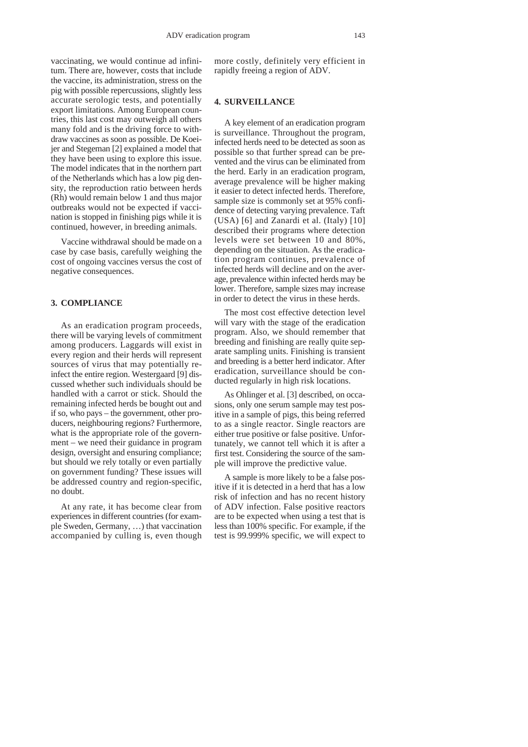vaccinating, we would continue ad infinitum. There are, however, costs that include the vaccine, its administration, stress on the pig with possible repercussions, slightly less accurate serologic tests, and potentially export limitations. Among European countries, this last cost may outweigh all others many fold and is the driving force to withdraw vaccines as soon as possible. De Koeijer and Stegeman [2] explained a model that they have been using to explore this issue. The model indicates that in the northern part of the Netherlands which has a low pig density, the reproduction ratio between herds (Rh) would remain below 1 and thus major outbreaks would not be expected if vaccination is stopped in finishing pigs while it is continued, however, in breeding animals.

Vaccine withdrawal should be made on a case by case basis, carefully weighing the cost of ongoing vaccines versus the cost of negative consequences.

### **3. COMPLIANCE**

As an eradication program proceeds, there will be varying levels of commitment among producers. Laggards will exist in every region and their herds will represent sources of virus that may potentially reinfect the entire region. Westergaard [9] discussed whether such individuals should be handled with a carrot or stick. Should the remaining infected herds be bought out and if so, who pays – the government, other producers, neighbouring regions? Furthermore, what is the appropriate role of the government – we need their guidance in program design, oversight and ensuring compliance; but should we rely totally or even partially on government funding? These issues will be addressed country and region-specific, no doubt.

At any rate, it has become clear from experiences in different countries (for example Sweden, Germany, …) that vaccination accompanied by culling is, even though

more costly, definitely very efficient in rapidly freeing a region of ADV.

#### **4. SURVEILLANCE**

A key element of an eradication program is surveillance. Throughout the program, infected herds need to be detected as soon as possible so that further spread can be prevented and the virus can be eliminated from the herd. Early in an eradication program, average prevalence will be higher making it easier to detect infected herds. Therefore, sample size is commonly set at 95% confidence of detecting varying prevalence. Taft (USA) [6] and Zanardi et al. (Italy) [10] described their programs where detection levels were set between 10 and 80%, depending on the situation. As the eradication program continues, prevalence of infected herds will decline and on the average, prevalence within infected herds may be lower. Therefore, sample sizes may increase in order to detect the virus in these herds.

The most cost effective detection level will vary with the stage of the eradication program. Also, we should remember that breeding and finishing are really quite separate sampling units. Finishing is transient and breeding is a better herd indicator. After eradication, surveillance should be conducted regularly in high risk locations.

As Ohlinger et al. [3] described, on occasions, only one serum sample may test positive in a sample of pigs, this being referred to as a single reactor. Single reactors are either true positive or false positive. Unfortunately, we cannot tell which it is after a first test. Considering the source of the sample will improve the predictive value.

A sample is more likely to be a false positive if it is detected in a herd that has a low risk of infection and has no recent history of ADV infection. False positive reactors are to be expected when using a test that is less than 100% specific. For example, if the test is 99.999% specific, we will expect to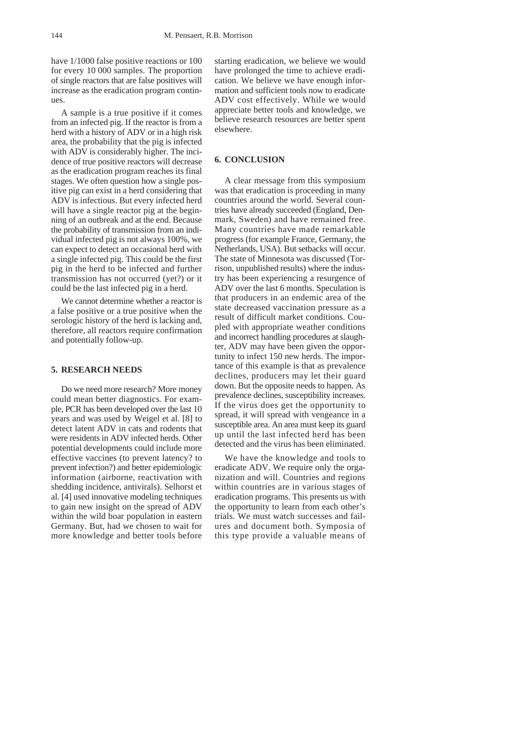have 1/1000 false positive reactions or 100 for every 10 000 samples. The proportion of single reactors that are false positives will increase as the eradication program continues.

A sample is a true positive if it comes from an infected pig. If the reactor is from a herd with a history of ADV or in a high risk area, the probability that the pig is infected with ADV is considerably higher. The incidence of true positive reactors will decrease as the eradication program reaches its final stages. We often question how a single positive pig can exist in a herd considering that ADV is infectious. But every infected herd will have a single reactor pig at the beginning of an outbreak and at the end. Because the probability of transmission from an individual infected pig is not always 100%, we can expect to detect an occasional herd with a single infected pig. This could be the first pig in the herd to be infected and further transmission has not occurred (yet?) or it could be the last infected pig in a herd.

We cannot determine whether a reactor is a false positive or a true positive when the serologic history of the herd is lacking and, therefore, all reactors require confirmation and potentially follow-up.

### **5. RESEARCH NEEDS**

Do we need more research? More money could mean better diagnostics. For example, PCR has been developed over the last 10 years and was used by Weigel et al. [8] to detect latent ADV in cats and rodents that were residents in ADV infected herds. Other potential developments could include more effective vaccines (to prevent latency? to prevent infection?) and better epidemiologic information (airborne, reactivation with shedding incidence, antivirals). Selhorst et al. [4] used innovative modeling techniques to gain new insight on the spread of ADV within the wild boar population in eastern Germany. But, had we chosen to wait for more knowledge and better tools before

starting eradication, we believe we would have prolonged the time to achieve eradication. We believe we have enough information and sufficient tools now to eradicate ADV cost effectively. While we would appreciate better tools and knowledge, we believe research resources are better spent elsewhere.

### **6. CONCLUSION**

A clear message from this symposium was that eradication is proceeding in many countries around the world. Several countries have already succeeded (England, Denmark, Sweden) and have remained free. Many countries have made remarkable progress (for example France, Germany, the Netherlands, USA). But setbacks will occur. The state of Minnesota was discussed (Torrison, unpublished results) where the industry has been experiencing a resurgence of ADV over the last 6 months. Speculation is that producers in an endemic area of the state decreased vaccination pressure as a result of difficult market conditions. Coupled with appropriate weather conditions and incorrect handling procedures at slaughter, ADV may have been given the opportunity to infect 150 new herds. The importance of this example is that as prevalence declines, producers may let their guard down. But the opposite needs to happen. As prevalence declines, susceptibility increases. If the virus does get the opportunity to spread, it will spread with vengeance in a susceptible area. An area must keep its guard up until the last infected herd has been detected and the virus has been eliminated.

We have the knowledge and tools to eradicate ADV. We require only the organization and will. Countries and regions within countries are in various stages of eradication programs. This presents us with the opportunity to learn from each other's trials. We must watch successes and failures and document both. Symposia of this type provide a valuable means of